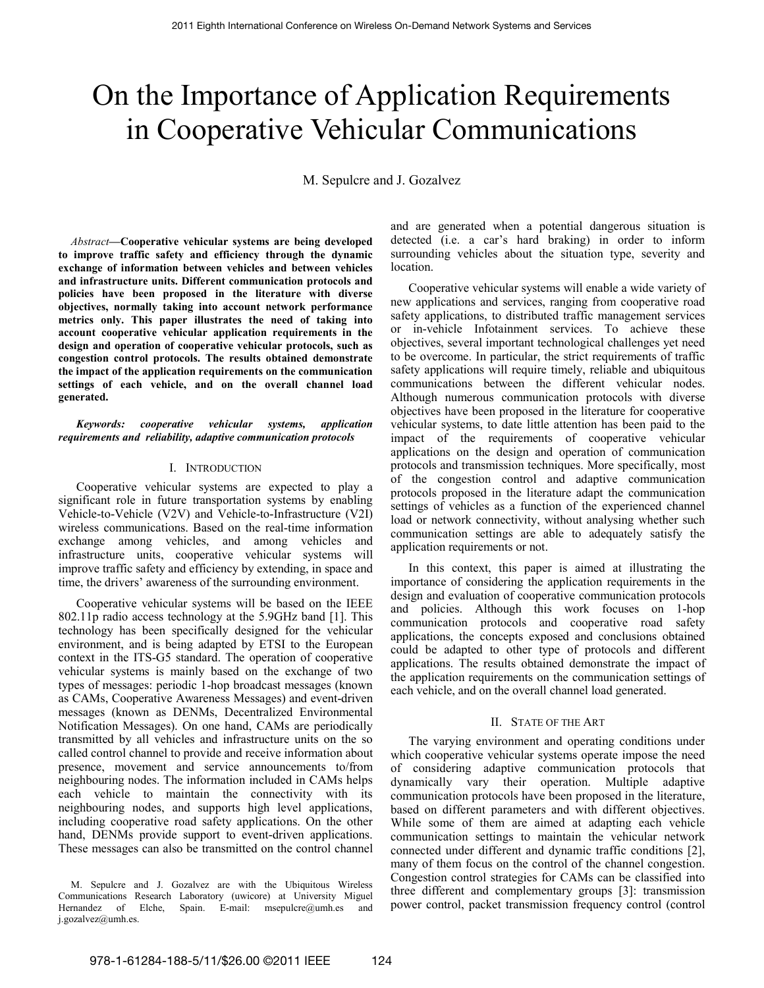# On the Importance of Application Requirements in Cooperative Vehicular Communications

M. Sepulcre and J. Gozalvez

*Abstract***—Cooperative vehicular systems are being developed to improve traffic safety and efficiency through the dynamic exchange of information between vehicles and between vehicles and infrastructure units. Different communication protocols and policies have been proposed in the literature with diverse objectives, normally taking into account network performance metrics only. This paper illustrates the need of taking into account cooperative vehicular application requirements in the design and operation of cooperative vehicular protocols, such as congestion control protocols. The results obtained demonstrate the impact of the application requirements on the communication settings of each vehicle, and on the overall channel load generated.** 

*Keywords: cooperative vehicular systems, application requirements and reliability, adaptive communication protocols* 

#### I. INTRODUCTION

Cooperative vehicular systems are expected to play a significant role in future transportation systems by enabling Vehicle-to-Vehicle (V2V) and Vehicle-to-Infrastructure (V2I) wireless communications. Based on the real-time information exchange among vehicles, and among vehicles and infrastructure units, cooperative vehicular systems will improve traffic safety and efficiency by extending, in space and time, the drivers' awareness of the surrounding environment.

Cooperative vehicular systems will be based on the IEEE 802.11p radio access technology at the 5.9GHz band [1]. This technology has been specifically designed for the vehicular environment, and is being adapted by ETSI to the European context in the ITS-G5 standard. The operation of cooperative vehicular systems is mainly based on the exchange of two types of messages: periodic 1-hop broadcast messages (known as CAMs, Cooperative Awareness Messages) and event-driven messages (known as DENMs, Decentralized Environmental Notification Messages). On one hand, CAMs are periodically transmitted by all vehicles and infrastructure units on the so called control channel to provide and receive information about presence, movement and service announcements to/from neighbouring nodes. The information included in CAMs helps each vehicle to maintain the connectivity with its neighbouring nodes, and supports high level applications, including cooperative road safety applications. On the other hand, DENMs provide support to event-driven applications. These messages can also be transmitted on the control channel and are generated when a potential dangerous situation is detected (i.e. a car's hard braking) in order to inform surrounding vehicles about the situation type, severity and location.

Cooperative vehicular systems will enable a wide variety of new applications and services, ranging from cooperative road safety applications, to distributed traffic management services or in-vehicle Infotainment services. To achieve these objectives, several important technological challenges yet need to be overcome. In particular, the strict requirements of traffic safety applications will require timely, reliable and ubiquitous communications between the different vehicular nodes. Although numerous communication protocols with diverse objectives have been proposed in the literature for cooperative vehicular systems, to date little attention has been paid to the impact of the requirements of cooperative vehicular applications on the design and operation of communication protocols and transmission techniques. More specifically, most of the congestion control and adaptive communication protocols proposed in the literature adapt the communication settings of vehicles as a function of the experienced channel load or network connectivity, without analysing whether such communication settings are able to adequately satisfy the application requirements or not.

In this context, this paper is aimed at illustrating the importance of considering the application requirements in the design and evaluation of cooperative communication protocols and policies. Although this work focuses on 1-hop communication protocols and cooperative road safety applications, the concepts exposed and conclusions obtained could be adapted to other type of protocols and different applications. The results obtained demonstrate the impact of the application requirements on the communication settings of each vehicle, and on the overall channel load generated.

## II. STATE OF THE ART

The varying environment and operating conditions under which cooperative vehicular systems operate impose the need of considering adaptive communication protocols that dynamically vary their operation. Multiple adaptive communication protocols have been proposed in the literature, based on different parameters and with different objectives. While some of them are aimed at adapting each vehicle communication settings to maintain the vehicular network connected under different and dynamic traffic conditions [2], many of them focus on the control of the channel congestion. Congestion control strategies for CAMs can be classified into three different and complementary groups [3]: transmission power control, packet transmission frequency control (control

M. Sepulcre and J. Gozalvez are with the Ubiquitous Wireless Communications Research Laboratory (uwicore) at University Miguel Hernandez of Elche, Spain. E-mail: msepulcre@umh.es and j.gozalvez@umh.es.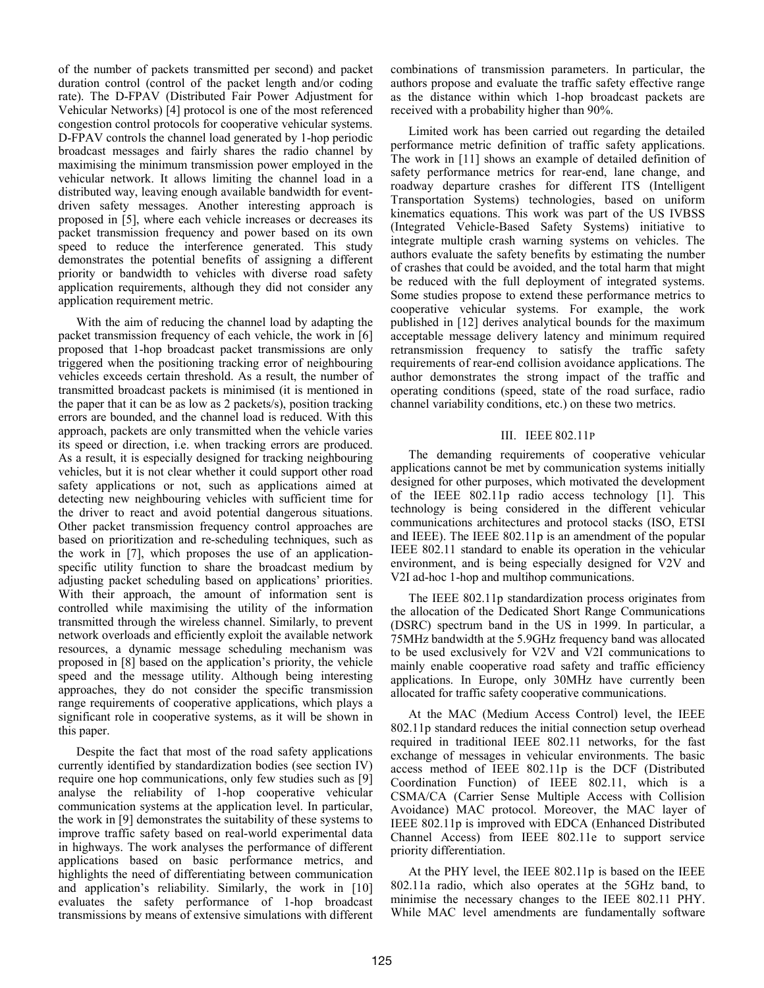of the number of packets transmitted per second) and packet duration control (control of the packet length and/or coding rate). The D-FPAV (Distributed Fair Power Adjustment for Vehicular Networks) [4] protocol is one of the most referenced congestion control protocols for cooperative vehicular systems. D-FPAV controls the channel load generated by 1-hop periodic broadcast messages and fairly shares the radio channel by maximising the minimum transmission power employed in the vehicular network. It allows limiting the channel load in a distributed way, leaving enough available bandwidth for eventdriven safety messages. Another interesting approach is proposed in [5], where each vehicle increases or decreases its packet transmission frequency and power based on its own speed to reduce the interference generated. This study demonstrates the potential benefits of assigning a different priority or bandwidth to vehicles with diverse road safety application requirements, although they did not consider any application requirement metric.

With the aim of reducing the channel load by adapting the packet transmission frequency of each vehicle, the work in [6] proposed that 1-hop broadcast packet transmissions are only triggered when the positioning tracking error of neighbouring vehicles exceeds certain threshold. As a result, the number of transmitted broadcast packets is minimised (it is mentioned in the paper that it can be as low as 2 packets/s), position tracking errors are bounded, and the channel load is reduced. With this approach, packets are only transmitted when the vehicle varies its speed or direction, i.e. when tracking errors are produced. As a result, it is especially designed for tracking neighbouring vehicles, but it is not clear whether it could support other road safety applications or not, such as applications aimed at detecting new neighbouring vehicles with sufficient time for the driver to react and avoid potential dangerous situations. Other packet transmission frequency control approaches are based on prioritization and re-scheduling techniques, such as the work in [7], which proposes the use of an applicationspecific utility function to share the broadcast medium by adjusting packet scheduling based on applications' priorities. With their approach, the amount of information sent is controlled while maximising the utility of the information transmitted through the wireless channel. Similarly, to prevent network overloads and efficiently exploit the available network resources, a dynamic message scheduling mechanism was proposed in [8] based on the application's priority, the vehicle speed and the message utility. Although being interesting approaches, they do not consider the specific transmission range requirements of cooperative applications, which plays a significant role in cooperative systems, as it will be shown in this paper.

Despite the fact that most of the road safety applications currently identified by standardization bodies (see section IV) require one hop communications, only few studies such as [9] analyse the reliability of 1-hop cooperative vehicular communication systems at the application level. In particular, the work in [9] demonstrates the suitability of these systems to improve traffic safety based on real-world experimental data in highways. The work analyses the performance of different applications based on basic performance metrics, and highlights the need of differentiating between communication and application's reliability. Similarly, the work in [10] evaluates the safety performance of 1-hop broadcast transmissions by means of extensive simulations with different

combinations of transmission parameters. In particular, the authors propose and evaluate the traffic safety effective range as the distance within which 1-hop broadcast packets are received with a probability higher than 90%.

Limited work has been carried out regarding the detailed performance metric definition of traffic safety applications. The work in [11] shows an example of detailed definition of safety performance metrics for rear-end, lane change, and roadway departure crashes for different ITS (Intelligent Transportation Systems) technologies, based on uniform kinematics equations. This work was part of the US IVBSS (Integrated Vehicle-Based Safety Systems) initiative to integrate multiple crash warning systems on vehicles. The authors evaluate the safety benefits by estimating the number of crashes that could be avoided, and the total harm that might be reduced with the full deployment of integrated systems. Some studies propose to extend these performance metrics to cooperative vehicular systems. For example, the work published in [12] derives analytical bounds for the maximum acceptable message delivery latency and minimum required retransmission frequency to satisfy the traffic safety requirements of rear-end collision avoidance applications. The author demonstrates the strong impact of the traffic and operating conditions (speed, state of the road surface, radio channel variability conditions, etc.) on these two metrics.

# III. IEEE 802.11P

The demanding requirements of cooperative vehicular applications cannot be met by communication systems initially designed for other purposes, which motivated the development of the IEEE 802.11p radio access technology [1]. This technology is being considered in the different vehicular communications architectures and protocol stacks (ISO, ETSI and IEEE). The IEEE 802.11p is an amendment of the popular IEEE 802.11 standard to enable its operation in the vehicular environment, and is being especially designed for V2V and V2I ad-hoc 1-hop and multihop communications.

The IEEE 802.11p standardization process originates from the allocation of the Dedicated Short Range Communications (DSRC) spectrum band in the US in 1999. In particular, a 75MHz bandwidth at the 5.9GHz frequency band was allocated to be used exclusively for V2V and V2I communications to mainly enable cooperative road safety and traffic efficiency applications. In Europe, only 30MHz have currently been allocated for traffic safety cooperative communications.

At the MAC (Medium Access Control) level, the IEEE 802.11p standard reduces the initial connection setup overhead required in traditional IEEE 802.11 networks, for the fast exchange of messages in vehicular environments. The basic access method of IEEE 802.11p is the DCF (Distributed Coordination Function) of IEEE 802.11, which is a CSMA/CA (Carrier Sense Multiple Access with Collision Avoidance) MAC protocol. Moreover, the MAC layer of IEEE 802.11p is improved with EDCA (Enhanced Distributed Channel Access) from IEEE 802.11e to support service priority differentiation.

At the PHY level, the IEEE 802.11p is based on the IEEE 802.11a radio, which also operates at the 5GHz band, to minimise the necessary changes to the IEEE 802.11 PHY. While MAC level amendments are fundamentally software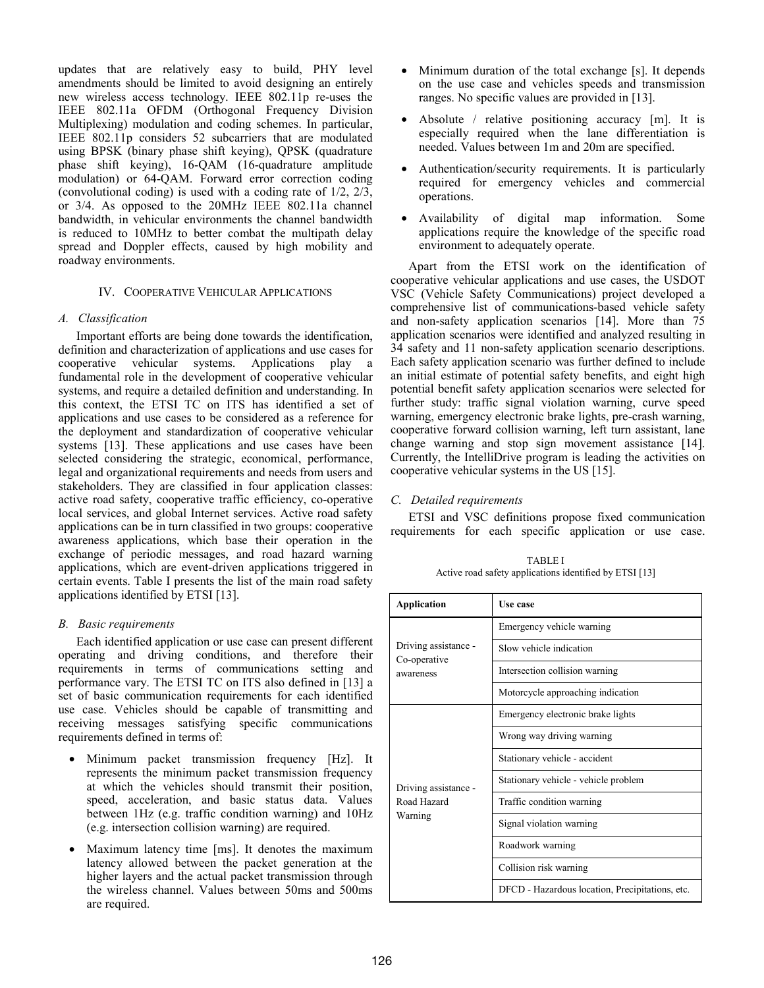updates that are relatively easy to build, PHY level amendments should be limited to avoid designing an entirely new wireless access technology. IEEE 802.11p re-uses the IEEE 802.11a OFDM (Orthogonal Frequency Division Multiplexing) modulation and coding schemes. In particular, IEEE 802.11p considers 52 subcarriers that are modulated using BPSK (binary phase shift keying), QPSK (quadrature phase shift keying), 16-QAM (16-quadrature amplitude modulation) or 64-QAM. Forward error correction coding (convolutional coding) is used with a coding rate of 1/2, 2/3, or 3/4. As opposed to the 20MHz IEEE 802.11a channel bandwidth, in vehicular environments the channel bandwidth is reduced to 10MHz to better combat the multipath delay spread and Doppler effects, caused by high mobility and roadway environments.

## IV. COOPERATIVE VEHICULAR APPLICATIONS

### *A. Classification*

Important efforts are being done towards the identification, definition and characterization of applications and use cases for cooperative vehicular systems. Applications play a fundamental role in the development of cooperative vehicular systems, and require a detailed definition and understanding. In this context, the ETSI TC on ITS has identified a set of applications and use cases to be considered as a reference for the deployment and standardization of cooperative vehicular systems [13]. These applications and use cases have been selected considering the strategic, economical, performance, legal and organizational requirements and needs from users and stakeholders. They are classified in four application classes: active road safety, cooperative traffic efficiency, co-operative local services, and global Internet services. Active road safety applications can be in turn classified in two groups: cooperative awareness applications, which base their operation in the exchange of periodic messages, and road hazard warning applications, which are event-driven applications triggered in certain events. Table I presents the list of the main road safety applications identified by ETSI [13].

## *B. Basic requirements*

Each identified application or use case can present different operating and driving conditions, and therefore their requirements in terms of communications setting and performance vary. The ETSI TC on ITS also defined in [13] a set of basic communication requirements for each identified use case. Vehicles should be capable of transmitting and receiving messages satisfying specific communications requirements defined in terms of:

- Minimum packet transmission frequency [Hz]. It represents the minimum packet transmission frequency at which the vehicles should transmit their position, speed, acceleration, and basic status data. Values between 1Hz (e.g. traffic condition warning) and 10Hz (e.g. intersection collision warning) are required.
- Maximum latency time [ms]. It denotes the maximum latency allowed between the packet generation at the higher layers and the actual packet transmission through the wireless channel. Values between 50ms and 500ms are required.
- Minimum duration of the total exchange [s]. It depends on the use case and vehicles speeds and transmission ranges. No specific values are provided in [13].
- Absolute / relative positioning accuracy [m]. It is especially required when the lane differentiation is needed. Values between 1m and 20m are specified.
- Authentication/security requirements. It is particularly required for emergency vehicles and commercial operations.
- Availability of digital map information. Some applications require the knowledge of the specific road environment to adequately operate.

Apart from the ETSI work on the identification of cooperative vehicular applications and use cases, the USDOT VSC (Vehicle Safety Communications) project developed a comprehensive list of communications-based vehicle safety and non-safety application scenarios [14]. More than 75 application scenarios were identified and analyzed resulting in 34 safety and 11 non-safety application scenario descriptions. Each safety application scenario was further defined to include an initial estimate of potential safety benefits, and eight high potential benefit safety application scenarios were selected for further study: traffic signal violation warning, curve speed warning, emergency electronic brake lights, pre-crash warning, cooperative forward collision warning, left turn assistant, lane change warning and stop sign movement assistance [14]. Currently, the IntelliDrive program is leading the activities on cooperative vehicular systems in the US [15].

## *C. Detailed requirements*

ETSI and VSC definitions propose fixed communication requirements for each specific application or use case.

TABLE I Active road safety applications identified by ETSI [13]

| <b>Application</b>                                | Use case                                        |
|---------------------------------------------------|-------------------------------------------------|
| Driving assistance -<br>Co-operative<br>awareness | Emergency vehicle warning                       |
|                                                   | Slow vehicle indication                         |
|                                                   | Intersection collision warning                  |
|                                                   | Motorcycle approaching indication               |
| Driving assistance -<br>Road Hazard<br>Warning    | Emergency electronic brake lights               |
|                                                   | Wrong way driving warning                       |
|                                                   | Stationary vehicle - accident                   |
|                                                   | Stationary vehicle - vehicle problem            |
|                                                   | Traffic condition warning                       |
|                                                   | Signal violation warning                        |
|                                                   | Roadwork warning                                |
|                                                   | Collision risk warning                          |
|                                                   | DFCD - Hazardous location, Precipitations, etc. |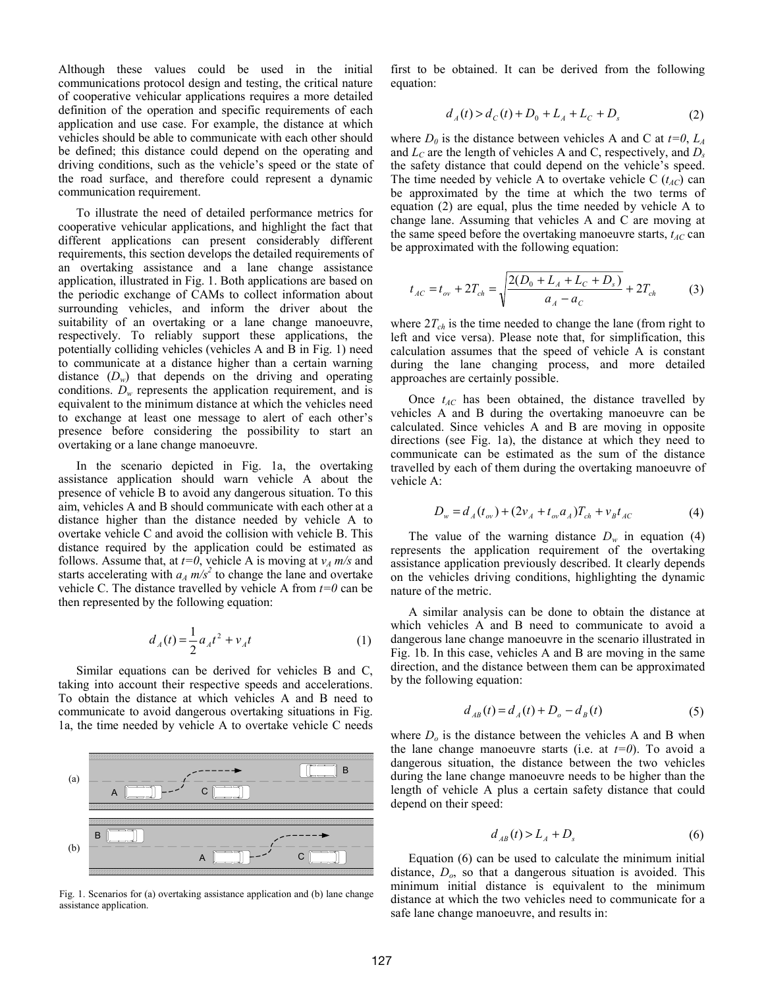Although these values could be used in the initial communications protocol design and testing, the critical nature of cooperative vehicular applications requires a more detailed definition of the operation and specific requirements of each application and use case. For example, the distance at which vehicles should be able to communicate with each other should be defined; this distance could depend on the operating and driving conditions, such as the vehicle's speed or the state of the road surface, and therefore could represent a dynamic communication requirement.

To illustrate the need of detailed performance metrics for cooperative vehicular applications, and highlight the fact that different applications can present considerably different requirements, this section develops the detailed requirements of an overtaking assistance and a lane change assistance application, illustrated in Fig. 1. Both applications are based on the periodic exchange of CAMs to collect information about surrounding vehicles, and inform the driver about the suitability of an overtaking or a lane change manoeuvre, respectively. To reliably support these applications, the potentially colliding vehicles (vehicles A and B in Fig. 1) need to communicate at a distance higher than a certain warning distance  $(D_w)$  that depends on the driving and operating conditions.  $D_w$  represents the application requirement, and is equivalent to the minimum distance at which the vehicles need to exchange at least one message to alert of each other's presence before considering the possibility to start an overtaking or a lane change manoeuvre.

In the scenario depicted in Fig. 1a, the overtaking assistance application should warn vehicle A about the presence of vehicle B to avoid any dangerous situation. To this aim, vehicles A and B should communicate with each other at a distance higher than the distance needed by vehicle A to overtake vehicle C and avoid the collision with vehicle B. This distance required by the application could be estimated as follows. Assume that, at  $t=0$ , vehicle A is moving at  $v_A$  *m/s* and starts accelerating with  $a_A m/s^2$  to change the lane and overtake vehicle C. The distance travelled by vehicle A from  $t=0$  can be then represented by the following equation:

$$
d_A(t) = \frac{1}{2} a_A t^2 + v_A t \tag{1}
$$

Similar equations can be derived for vehicles B and C, taking into account their respective speeds and accelerations. To obtain the distance at which vehicles A and B need to communicate to avoid dangerous overtaking situations in Fig. 1a, the time needed by vehicle A to overtake vehicle C needs



Fig. 1. Scenarios for (a) overtaking assistance application and (b) lane change assistance application.

first to be obtained. It can be derived from the following equation:

$$
d_A(t) > d_C(t) + D_0 + L_A + L_C + D_s \tag{2}
$$

where  $D_0$  is the distance between vehicles A and C at  $t=0$ ,  $L_A$ and  $L<sub>C</sub>$  are the length of vehicles A and C, respectively, and  $D<sub>s</sub>$ the safety distance that could depend on the vehicle's speed. The time needed by vehicle A to overtake vehicle C  $(t_{AC})$  can be approximated by the time at which the two terms of equation (2) are equal, plus the time needed by vehicle A to change lane. Assuming that vehicles A and C are moving at the same speed before the overtaking manoeuvre starts,  $t_{AC}$  can be approximated with the following equation:

$$
t_{AC} = t_{ov} + 2T_{ch} = \sqrt{\frac{2(D_0 + L_A + L_C + D_s)}{a_A - a_C}} + 2T_{ch}
$$
 (3)

where  $2T_{ch}$  is the time needed to change the lane (from right to left and vice versa). Please note that, for simplification, this calculation assumes that the speed of vehicle A is constant during the lane changing process, and more detailed approaches are certainly possible.

Once  $t_{AC}$  has been obtained, the distance travelled by vehicles A and B during the overtaking manoeuvre can be calculated. Since vehicles A and B are moving in opposite directions (see Fig. 1a), the distance at which they need to communicate can be estimated as the sum of the distance travelled by each of them during the overtaking manoeuvre of vehicle A:

$$
D_w = d_A(t_{ov}) + (2v_A + t_{ov}a_A)T_{ch} + v_Bt_{AC}
$$
 (4)

The value of the warning distance  $D_w$  in equation (4) represents the application requirement of the overtaking assistance application previously described. It clearly depends on the vehicles driving conditions, highlighting the dynamic nature of the metric.

A similar analysis can be done to obtain the distance at which vehicles A and B need to communicate to avoid a dangerous lane change manoeuvre in the scenario illustrated in Fig. 1b. In this case, vehicles A and B are moving in the same direction, and the distance between them can be approximated by the following equation:

$$
d_{AB}(t) = d_A(t) + D_o - d_B(t)
$$
 (5)

where  $D<sub>o</sub>$  is the distance between the vehicles A and B when the lane change manoeuvre starts (i.e. at *t=0*). To avoid a dangerous situation, the distance between the two vehicles during the lane change manoeuvre needs to be higher than the length of vehicle A plus a certain safety distance that could depend on their speed:

$$
d_{AB}(t) > L_A + D_s \tag{6}
$$

Equation (6) can be used to calculate the minimum initial distance, *Do*, so that a dangerous situation is avoided. This minimum initial distance is equivalent to the minimum distance at which the two vehicles need to communicate for a safe lane change manoeuvre, and results in: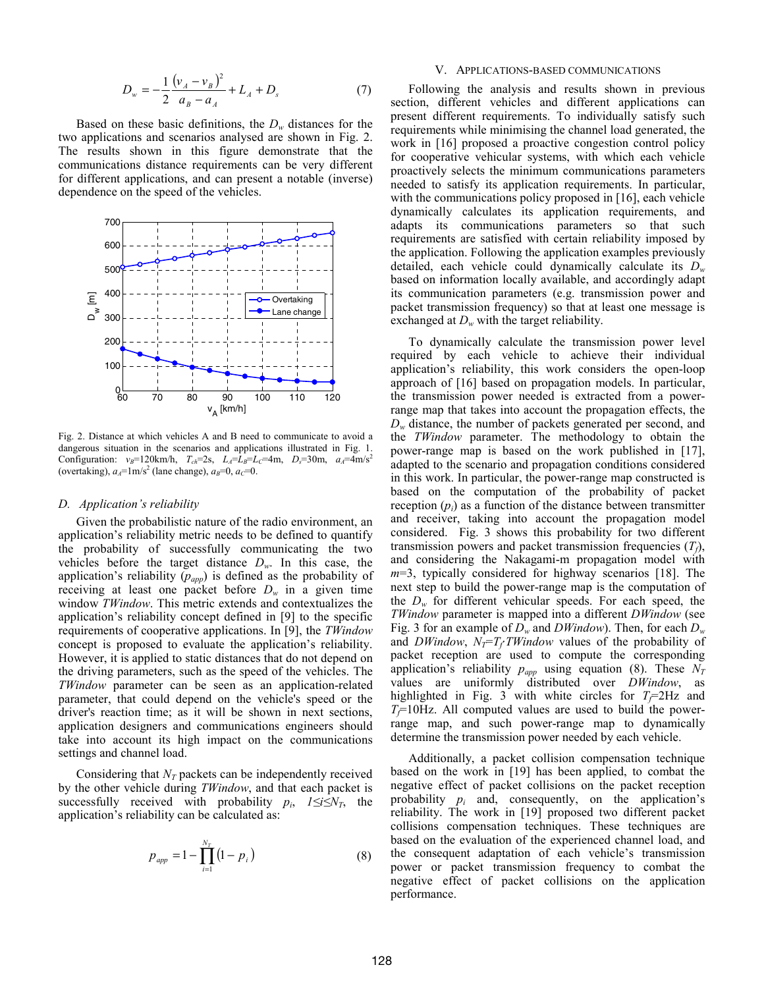$$
D_w = -\frac{1}{2} \frac{(v_A - v_B)^2}{a_B - a_A} + L_A + D_s \tag{7}
$$

Based on these basic definitions, the  $D_w$  distances for the two applications and scenarios analysed are shown in Fig. 2. The results shown in this figure demonstrate that the communications distance requirements can be very different for different applications, and can present a notable (inverse) dependence on the speed of the vehicles.



Fig. 2. Distance at which vehicles A and B need to communicate to avoid a dangerous situation in the scenarios and applications illustrated in Fig. 1. Configuration:  $v_B = 120 \text{km/h}$ ,  $T_{ch} = 2s$ ,  $L_A = L_B = L_C = 4 \text{m}$ ,  $D_s = 30 \text{m}$ ,  $a_A = 4 \text{m/s}^2$ (overtaking),  $a_A = 1$ m/s<sup>2</sup> (lane change),  $a_B = 0$ ,  $a_C = 0$ .

#### *D. Application's reliability*

Given the probabilistic nature of the radio environment, an application's reliability metric needs to be defined to quantify the probability of successfully communicating the two vehicles before the target distance  $D_w$ . In this case, the application's reliability  $(p_{app})$  is defined as the probability of receiving at least one packet before  $D_w$  in a given time window *TWindow*. This metric extends and contextualizes the application's reliability concept defined in [9] to the specific requirements of cooperative applications. In [9], the *TWindow* concept is proposed to evaluate the application's reliability. However, it is applied to static distances that do not depend on the driving parameters, such as the speed of the vehicles. The *TWindow* parameter can be seen as an application-related parameter, that could depend on the vehicle's speed or the driver's reaction time; as it will be shown in next sections, application designers and communications engineers should take into account its high impact on the communications settings and channel load.

Considering that  $N_T$  packets can be independently received by the other vehicle during *TWindow*, and that each packet is successfully received with probability  $p_i$ ,  $1 \le i \le N_T$ , the application's reliability can be calculated as:

$$
p_{app} = 1 - \prod_{i=1}^{N_T} (1 - p_i)
$$
 (8)

#### V. APPLICATIONS-BASED COMMUNICATIONS

Following the analysis and results shown in previous section, different vehicles and different applications can present different requirements. To individually satisfy such requirements while minimising the channel load generated, the work in [16] proposed a proactive congestion control policy for cooperative vehicular systems, with which each vehicle proactively selects the minimum communications parameters needed to satisfy its application requirements. In particular, with the communications policy proposed in [16], each vehicle dynamically calculates its application requirements, and adapts its communications parameters so that such requirements are satisfied with certain reliability imposed by the application. Following the application examples previously detailed, each vehicle could dynamically calculate its *Dw* based on information locally available, and accordingly adapt its communication parameters (e.g. transmission power and packet transmission frequency) so that at least one message is exchanged at  $D_w$  with the target reliability.

To dynamically calculate the transmission power level required by each vehicle to achieve their individual application's reliability, this work considers the open-loop approach of [16] based on propagation models. In particular, the transmission power needed is extracted from a powerrange map that takes into account the propagation effects, the  $D_w$  distance, the number of packets generated per second, and the *TWindow* parameter. The methodology to obtain the power-range map is based on the work published in [17], adapted to the scenario and propagation conditions considered in this work. In particular, the power-range map constructed is based on the computation of the probability of packet reception  $(p_i)$  as a function of the distance between transmitter and receiver, taking into account the propagation model considered. Fig. 3 shows this probability for two different transmission powers and packet transmission frequencies  $(T_f)$ , and considering the Nakagami-m propagation model with *m*=3, typically considered for highway scenarios [18]. The next step to build the power-range map is the computation of the *Dw* for different vehicular speeds. For each speed, the *TWindow* parameter is mapped into a different *DWindow* (see Fig. 3 for an example of *Dw* and *DWindow*). Then, for each *Dw* and *DWindow*,  $N_T = T_f T W in down$  values of the probability of packet reception are used to compute the corresponding application's reliability  $p_{app}$  using equation (8). These  $N_T$ values are uniformly distributed over *DWindow*, as highlighted in Fig. 3 with white circles for  $T_f$ =2Hz and  $T_f$ =10Hz. All computed values are used to build the powerrange map, and such power-range map to dynamically determine the transmission power needed by each vehicle.

Additionally, a packet collision compensation technique based on the work in [19] has been applied, to combat the negative effect of packet collisions on the packet reception probability *pi* and, consequently, on the application's reliability. The work in [19] proposed two different packet collisions compensation techniques. These techniques are based on the evaluation of the experienced channel load, and the consequent adaptation of each vehicle's transmission power or packet transmission frequency to combat the negative effect of packet collisions on the application performance.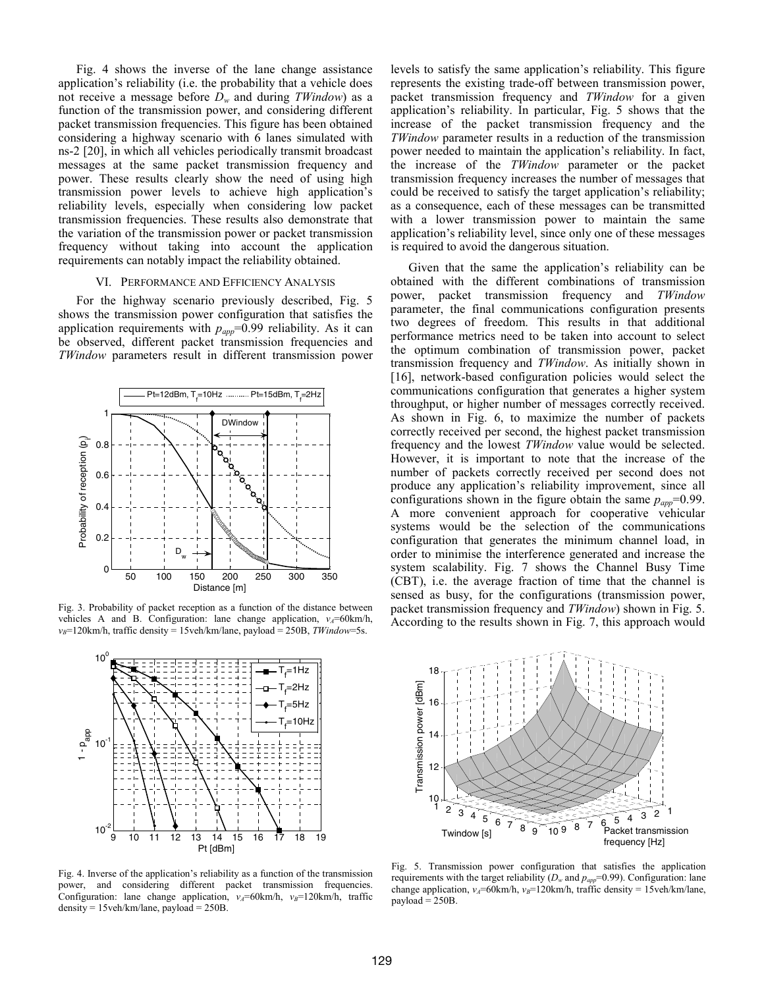Fig. 4 shows the inverse of the lane change assistance application's reliability (i.e. the probability that a vehicle does not receive a message before *Dw* and during *TWindow*) as a function of the transmission power, and considering different packet transmission frequencies. This figure has been obtained considering a highway scenario with 6 lanes simulated with ns-2 [20], in which all vehicles periodically transmit broadcast messages at the same packet transmission frequency and power. These results clearly show the need of using high transmission power levels to achieve high application's reliability levels, especially when considering low packet transmission frequencies. These results also demonstrate that the variation of the transmission power or packet transmission frequency without taking into account the application requirements can notably impact the reliability obtained.

#### VI. PERFORMANCE AND EFFICIENCY ANALYSIS

For the highway scenario previously described, Fig. 5 shows the transmission power configuration that satisfies the application requirements with  $p_{app}$ =0.99 reliability. As it can be observed, different packet transmission frequencies and *TWindow* parameters result in different transmission power



Fig. 3. Probability of packet reception as a function of the distance between vehicles A and B. Configuration: lane change application,  $v_A$ =60km/h, *v<sub>B</sub>*=120km/h, traffic density = 15veh/km/lane, payload = 250B, *TWindow*=5s.



Fig. 4. Inverse of the application's reliability as a function of the transmission power, and considering different packet transmission frequencies. Configuration: lane change application,  $v_A = 60 \text{km/h}$ ,  $v_B = 120 \text{km/h}$ , traffic density = 15veh/km/lane, payload = 250B.

levels to satisfy the same application's reliability. This figure represents the existing trade-off between transmission power, packet transmission frequency and *TWindow* for a given application's reliability. In particular, Fig. 5 shows that the increase of the packet transmission frequency and the *TWindow* parameter results in a reduction of the transmission power needed to maintain the application's reliability. In fact, the increase of the *TWindow* parameter or the packet transmission frequency increases the number of messages that could be received to satisfy the target application's reliability; as a consequence, each of these messages can be transmitted with a lower transmission power to maintain the same application's reliability level, since only one of these messages is required to avoid the dangerous situation.

Given that the same the application's reliability can be obtained with the different combinations of transmission power, packet transmission frequency and *TWindow* parameter, the final communications configuration presents two degrees of freedom. This results in that additional performance metrics need to be taken into account to select the optimum combination of transmission power, packet transmission frequency and *TWindow*. As initially shown in [16], network-based configuration policies would select the communications configuration that generates a higher system throughput, or higher number of messages correctly received. As shown in Fig. 6, to maximize the number of packets correctly received per second, the highest packet transmission frequency and the lowest *TWindow* value would be selected. However, it is important to note that the increase of the number of packets correctly received per second does not produce any application's reliability improvement, since all configurations shown in the figure obtain the same  $p_{\text{app}}$ =0.99. A more convenient approach for cooperative vehicular systems would be the selection of the communications configuration that generates the minimum channel load, in order to minimise the interference generated and increase the system scalability. Fig. 7 shows the Channel Busy Time (CBT), i.e. the average fraction of time that the channel is sensed as busy, for the configurations (transmission power, packet transmission frequency and *TWindow*) shown in Fig. 5. According to the results shown in Fig. 7, this approach would



Fig. 5. Transmission power configuration that satisfies the application requirements with the target reliability  $(D_w$  and  $p_{app}=0.99)$ . Configuration: lane change application,  $v_A$ =60km/h,  $v_B$ =120km/h, traffic density = 15veh/km/lane,  $pavload = 250B$ .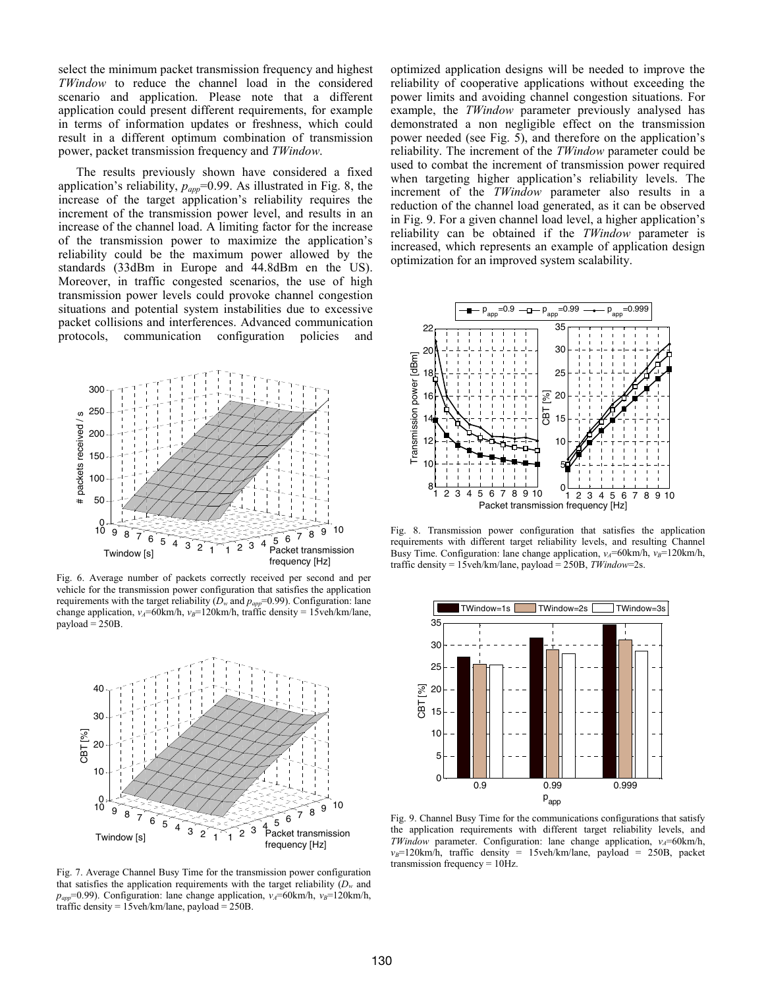select the minimum packet transmission frequency and highest *TWindow* to reduce the channel load in the considered scenario and application. Please note that a different application could present different requirements, for example in terms of information updates or freshness, which could result in a different optimum combination of transmission power, packet transmission frequency and *TWindow*.

The results previously shown have considered a fixed application's reliability,  $p_{amp}$ =0.99. As illustrated in Fig. 8, the increase of the target application's reliability requires the increment of the transmission power level, and results in an increase of the channel load. A limiting factor for the increase of the transmission power to maximize the application's reliability could be the maximum power allowed by the standards (33dBm in Europe and 44.8dBm en the US). Moreover, in traffic congested scenarios, the use of high transmission power levels could provoke channel congestion situations and potential system instabilities due to excessive packet collisions and interferences. Advanced communication protocols, communication configuration policies and



Fig. 6. Average number of packets correctly received per second and per vehicle for the transmission power configuration that satisfies the application requirements with the target reliability  $(D_w \text{ and } p_{app} = 0.99)$ . Configuration: lane change application,  $v_A$ =60km/h,  $v_B$ =120km/h, traffic density = 15veh/km/lane,  $payload = 250B$ .



Fig. 7. Average Channel Busy Time for the transmission power configuration that satisfies the application requirements with the target reliability  $(D_w$  and  $p_{\text{app}}$ =0.99). Configuration: lane change application,  $v_A$ =60km/h,  $v_B$ =120km/h, traffic density = 15veh/km/lane, payload = 250B.

optimized application designs will be needed to improve the reliability of cooperative applications without exceeding the power limits and avoiding channel congestion situations. For example, the *TWindow* parameter previously analysed has demonstrated a non negligible effect on the transmission power needed (see Fig. 5), and therefore on the application's reliability. The increment of the *TWindow* parameter could be used to combat the increment of transmission power required when targeting higher application's reliability levels. The increment of the *TWindow* parameter also results in a reduction of the channel load generated, as it can be observed in Fig. 9. For a given channel load level, a higher application's reliability can be obtained if the *TWindow* parameter is increased, which represents an example of application design optimization for an improved system scalability.



Fig. 8. Transmission power configuration that satisfies the application requirements with different target reliability levels, and resulting Channel Busy Time. Configuration: lane change application,  $v_A$ =60km/h,  $v_B$ =120km/h, traffic density = 15veh/km/lane, payload = 250B, *TWindow*=2s.



Fig. 9. Channel Busy Time for the communications configurations that satisfy the application requirements with different target reliability levels, and *TWindow* parameter. Configuration: lane change application,  $v_A$ =60km/h,  $v_B$ =120km/h, traffic density = 15veh/km/lane, payload = 250B, packet transmission frequency = 10Hz.